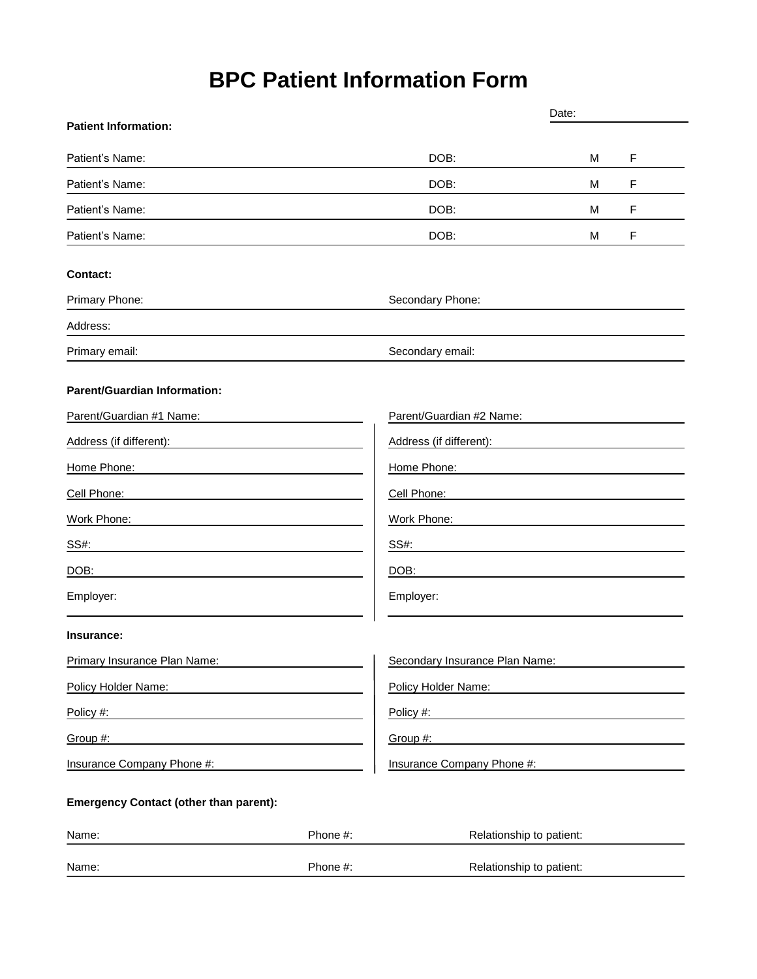# **BPC Patient Information Form**

| <b>Patient Information:</b>                                                                            |          | Date:                                 |   |   |
|--------------------------------------------------------------------------------------------------------|----------|---------------------------------------|---|---|
|                                                                                                        |          |                                       |   |   |
| Patient's Name:                                                                                        |          | DOB:                                  | м | F |
| Patient's Name:                                                                                        |          | DOB:                                  | M | F |
| Patient's Name:                                                                                        |          | DOB:                                  | м | F |
| Patient's Name:                                                                                        |          | DOB:                                  | M | F |
| <b>Contact:</b>                                                                                        |          |                                       |   |   |
| Primary Phone:                                                                                         |          | Secondary Phone:                      |   |   |
| Address:                                                                                               |          |                                       |   |   |
| Primary email:                                                                                         |          | Secondary email:                      |   |   |
| <b>Parent/Guardian Information:</b>                                                                    |          |                                       |   |   |
| Parent/Guardian #1 Name:                                                                               |          | Parent/Guardian #2 Name:              |   |   |
| Address (if different):                                                                                |          | Address (if different):               |   |   |
| Home Phone:                                                                                            |          | Home Phone:                           |   |   |
| Cell Phone:                                                                                            |          | Cell Phone:                           |   |   |
| Work Phone:                                                                                            |          | Work Phone:                           |   |   |
| SS#:                                                                                                   |          | SS#:                                  |   |   |
| DOB:                                                                                                   |          | DOB:                                  |   |   |
| Employer:                                                                                              |          | Employer:                             |   |   |
| Insurance:                                                                                             |          |                                       |   |   |
| <b>Primary Insurance Plan Name:</b>                                                                    |          | <b>Secondary Insurance Plan Name:</b> |   |   |
| Policy Holder Name:                                                                                    |          | Policy Holder Name:                   |   |   |
| Policy #:<br>the control of the control of the control of the control of the control of the control of |          | Policy #:                             |   |   |
| Group #:                                                                                               |          | Group #:                              |   |   |
| <b>Insurance Company Phone #:</b>                                                                      |          | Insurance Company Phone #:            |   |   |
| <b>Emergency Contact (other than parent):</b>                                                          |          |                                       |   |   |
| Name:                                                                                                  | Phone #: | Relationship to patient:              |   |   |

|  | Name: |  | patient:<br>∩ship<br>$\cdots$<br>$ -$ |
|--|-------|--|---------------------------------------|
|--|-------|--|---------------------------------------|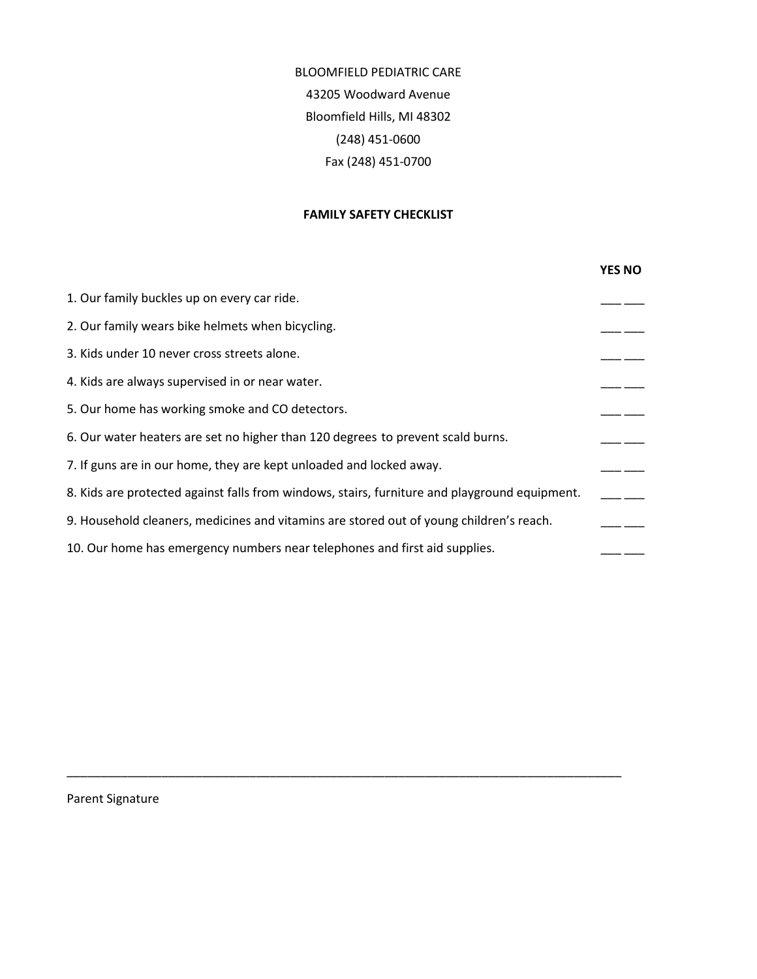BLOOMFIELD PEDIATRIC CARE 43205 Woodward Avenue Bloomfield Hills, MI 48302 (248) 451-0600 Fax (248) 451-0700

#### **FAMILY SAFETY CHECKLIST**

|                                                                                               | <b>YES NO</b> |
|-----------------------------------------------------------------------------------------------|---------------|
| 1. Our family buckles up on every car ride.                                                   |               |
| 2. Our family wears bike helmets when bicycling.                                              |               |
| 3. Kids under 10 never cross streets alone.                                                   |               |
| 4. Kids are always supervised in or near water.                                               |               |
| 5. Our home has working smoke and CO detectors.                                               |               |
| 6. Our water heaters are set no higher than 120 degrees to prevent scald burns.               |               |
| 7. If guns are in our home, they are kept unloaded and locked away.                           |               |
| 8. Kids are protected against falls from windows, stairs, furniture and playground equipment. |               |
| 9. Household cleaners, medicines and vitamins are stored out of young children's reach.       |               |
| 10. Our home has emergency numbers near telephones and first aid supplies.                    |               |

\_\_\_\_\_\_\_\_\_\_\_\_\_\_\_\_\_\_\_\_\_\_\_\_\_\_\_\_\_\_\_\_\_\_\_\_\_\_\_\_\_\_\_\_\_\_\_\_\_\_\_\_\_\_\_\_\_\_\_\_\_\_\_\_\_\_\_\_\_\_\_\_\_\_\_\_\_\_\_\_\_\_

Parent Signature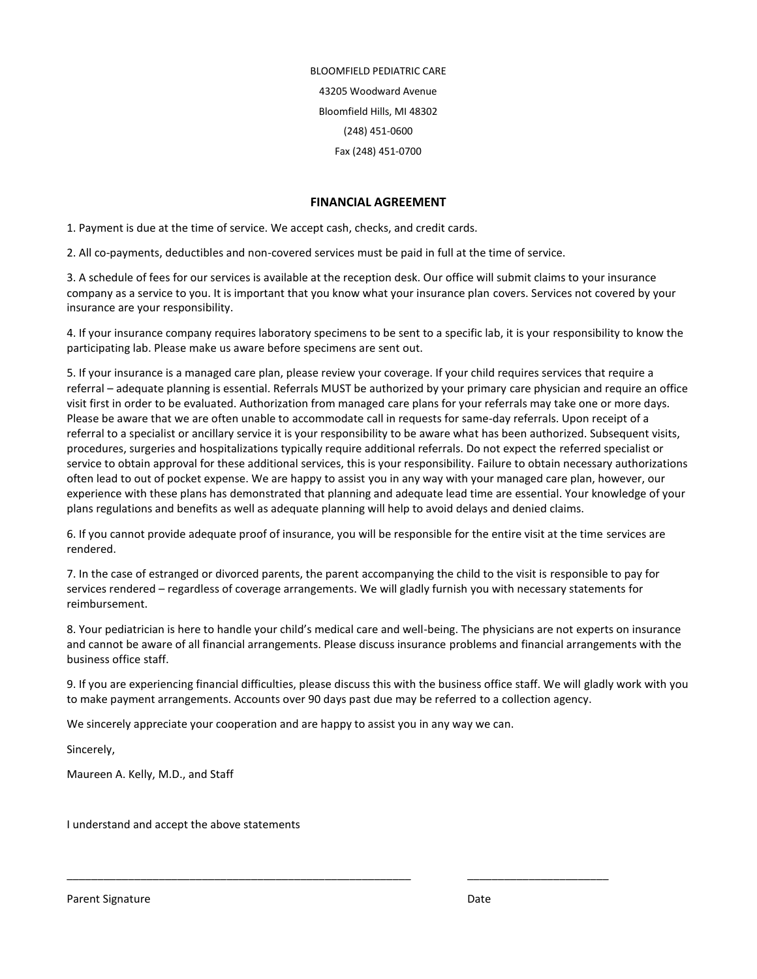BLOOMFIELD PEDIATRIC CARE 43205 Woodward Avenue Bloomfield Hills, MI 48302 (248) 451-0600 Fax (248) 451-0700

#### **FINANCIAL AGREEMENT**

1. Payment is due at the time of service. We accept cash, checks, and credit cards.

2. All co-payments, deductibles and non-covered services must be paid in full at the time of service.

3. A schedule of fees for our services is available at the reception desk. Our office will submit claims to your insurance company as a service to you. It is important that you know what your insurance plan covers. Services not covered by your insurance are your responsibility.

4. If your insurance company requires laboratory specimens to be sent to a specific lab, it is your responsibility to know the participating lab. Please make us aware before specimens are sent out.

5. If your insurance is a managed care plan, please review your coverage. If your child requires services that require a referral – adequate planning is essential. Referrals MUST be authorized by your primary care physician and require an office visit first in order to be evaluated. Authorization from managed care plans for your referrals may take one or more days. Please be aware that we are often unable to accommodate call in requests for same-day referrals. Upon receipt of a referral to a specialist or ancillary service it is your responsibility to be aware what has been authorized. Subsequent visits, procedures, surgeries and hospitalizations typically require additional referrals. Do not expect the referred specialist or service to obtain approval for these additional services, this is your responsibility. Failure to obtain necessary authorizations often lead to out of pocket expense. We are happy to assist you in any way with your managed care plan, however, our experience with these plans has demonstrated that planning and adequate lead time are essential. Your knowledge of your plans regulations and benefits as well as adequate planning will help to avoid delays and denied claims.

6. If you cannot provide adequate proof of insurance, you will be responsible for the entire visit at the time services are rendered.

7. In the case of estranged or divorced parents, the parent accompanying the child to the visit is responsible to pay for services rendered – regardless of coverage arrangements. We will gladly furnish you with necessary statements for reimbursement.

8. Your pediatrician is here to handle your child's medical care and well-being. The physicians are not experts on insurance and cannot be aware of all financial arrangements. Please discuss insurance problems and financial arrangements with the business office staff.

9. If you are experiencing financial difficulties, please discuss this with the business office staff. We will gladly work with you to make payment arrangements. Accounts over 90 days past due may be referred to a collection agency.

\_\_\_\_\_\_\_\_\_\_\_\_\_\_\_\_\_\_\_\_\_\_\_\_\_\_\_\_\_\_\_\_\_\_\_\_\_\_\_\_\_\_\_\_\_\_\_\_\_\_\_\_\_\_\_\_ \_\_\_\_\_\_\_\_\_\_\_\_\_\_\_\_\_\_\_\_\_\_\_

We sincerely appreciate your cooperation and are happy to assist you in any way we can.

Sincerely,

Maureen A. Kelly, M.D., and Staff

I understand and accept the above statements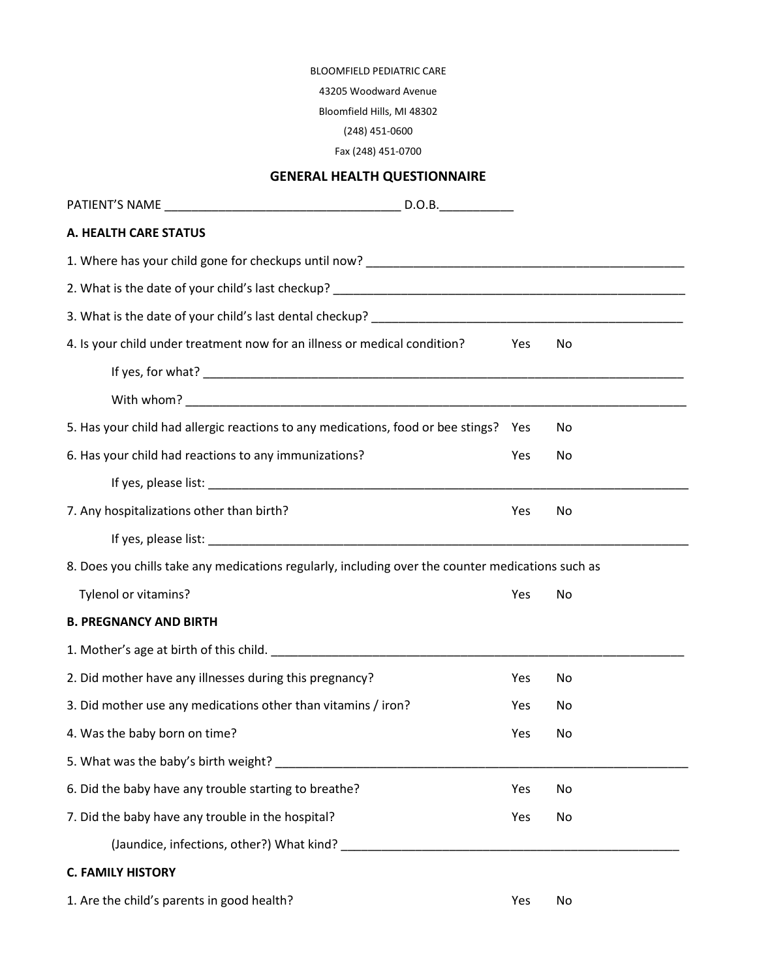#### BLOOMFIELD PEDIATRIC CARE

43205 Woodward Avenue

Bloomfield Hills, MI 48302

(248) 451-0600

Fax (248) 451-0700

## **GENERAL HEALTH QUESTIONNAIRE**

| A. HEALTH CARE STATUS                                                                                           |     |     |  |
|-----------------------------------------------------------------------------------------------------------------|-----|-----|--|
|                                                                                                                 |     |     |  |
|                                                                                                                 |     |     |  |
|                                                                                                                 |     |     |  |
| 4. Is your child under treatment now for an illness or medical condition?                                       | Yes | No  |  |
|                                                                                                                 |     |     |  |
|                                                                                                                 |     |     |  |
| 5. Has your child had allergic reactions to any medications, food or bee stings? Yes                            |     | No. |  |
| 6. Has your child had reactions to any immunizations?                                                           | Yes | No  |  |
|                                                                                                                 |     |     |  |
| 7. Any hospitalizations other than birth?                                                                       | Yes | No  |  |
| If yes, please list: and the same state of the state of the state of the state of the state of the state of the |     |     |  |
| 8. Does you chills take any medications regularly, including over the counter medications such as               |     |     |  |
| Tylenol or vitamins?                                                                                            | Yes | No  |  |
| <b>B. PREGNANCY AND BIRTH</b>                                                                                   |     |     |  |
|                                                                                                                 |     |     |  |
| 2. Did mother have any illnesses during this pregnancy?                                                         | Yes | No. |  |
| 3. Did mother use any medications other than vitamins / iron?                                                   | Yes | No  |  |
| 4. Was the baby born on time?                                                                                   | Yes | No  |  |
|                                                                                                                 |     |     |  |
| 6. Did the baby have any trouble starting to breathe?                                                           | Yes | No  |  |
| 7. Did the baby have any trouble in the hospital?                                                               | Yes | No  |  |
|                                                                                                                 |     |     |  |
| <b>C. FAMILY HISTORY</b>                                                                                        |     |     |  |
| 1. Are the child's parents in good health?                                                                      | Yes | No  |  |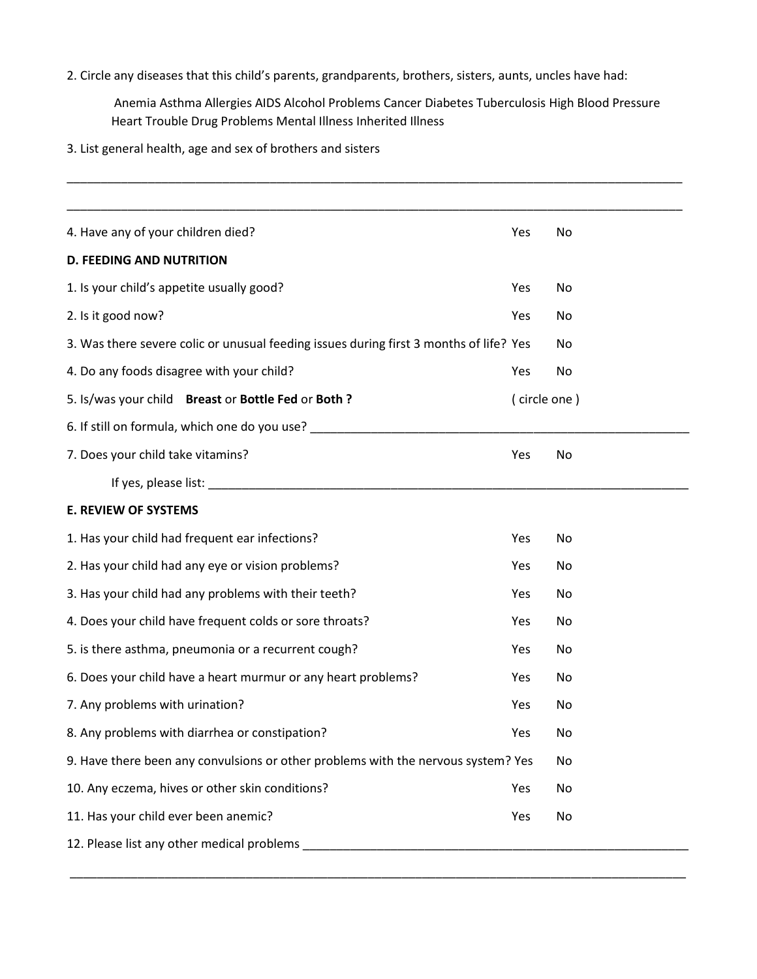2. Circle any diseases that this child's parents, grandparents, brothers, sisters, aunts, uncles have had:

Anemia Asthma Allergies AIDS Alcohol Problems Cancer Diabetes Tuberculosis High Blood Pressure Heart Trouble Drug Problems Mental Illness Inherited Illness

\_\_\_\_\_\_\_\_\_\_\_\_\_\_\_\_\_\_\_\_\_\_\_\_\_\_\_\_\_\_\_\_\_\_\_\_\_\_\_\_\_\_\_\_\_\_\_\_\_\_\_\_\_\_\_\_\_\_\_\_\_\_\_\_\_\_\_\_\_\_\_\_\_\_\_\_\_\_\_\_\_\_\_\_\_\_\_\_\_\_\_

3. List general health, age and sex of brothers and sisters

| 4. Have any of your children died?                                                                                                                                                                                            | Yes          | No |
|-------------------------------------------------------------------------------------------------------------------------------------------------------------------------------------------------------------------------------|--------------|----|
| <b>D. FEEDING AND NUTRITION</b>                                                                                                                                                                                               |              |    |
| 1. Is your child's appetite usually good?                                                                                                                                                                                     | Yes          | No |
| 2. Is it good now?                                                                                                                                                                                                            | Yes          | No |
| 3. Was there severe colic or unusual feeding issues during first 3 months of life? Yes                                                                                                                                        |              | No |
| 4. Do any foods disagree with your child?                                                                                                                                                                                     | Yes          | No |
| 5. Is/was your child Breast or Bottle Fed or Both?                                                                                                                                                                            | (circle one) |    |
| 6. If still on formula, which one do you use?                                                                                                                                                                                 |              |    |
| 7. Does your child take vitamins?                                                                                                                                                                                             | Yes          | No |
| If yes, please list: North and the same state of the state of the state of the state of the state of the state of the state of the state of the state of the state of the state of the state of the state of the state of the |              |    |
| <b>E. REVIEW OF SYSTEMS</b>                                                                                                                                                                                                   |              |    |
| 1. Has your child had frequent ear infections?                                                                                                                                                                                | Yes          | No |
| 2. Has your child had any eye or vision problems?                                                                                                                                                                             | Yes          | No |
| 3. Has your child had any problems with their teeth?                                                                                                                                                                          | Yes          | No |
| 4. Does your child have frequent colds or sore throats?                                                                                                                                                                       | Yes          | No |
| 5. is there asthma, pneumonia or a recurrent cough?                                                                                                                                                                           | Yes          | No |
| 6. Does your child have a heart murmur or any heart problems?                                                                                                                                                                 | Yes          | No |
| 7. Any problems with urination?                                                                                                                                                                                               | Yes          | No |
| 8. Any problems with diarrhea or constipation?                                                                                                                                                                                | Yes          | No |
| 9. Have there been any convulsions or other problems with the nervous system? Yes                                                                                                                                             |              | No |
| 10. Any eczema, hives or other skin conditions?                                                                                                                                                                               | Yes          | No |
| 11. Has your child ever been anemic?                                                                                                                                                                                          | Yes          | No |
| 12. Please list any other medical problems                                                                                                                                                                                    |              |    |

\_\_\_\_\_\_\_\_\_\_\_\_\_\_\_\_\_\_\_\_\_\_\_\_\_\_\_\_\_\_\_\_\_\_\_\_\_\_\_\_\_\_\_\_\_\_\_\_\_\_\_\_\_\_\_\_\_\_\_\_\_\_\_\_\_\_\_\_\_\_\_\_\_\_\_\_\_\_\_\_\_\_\_\_\_\_\_\_\_\_\_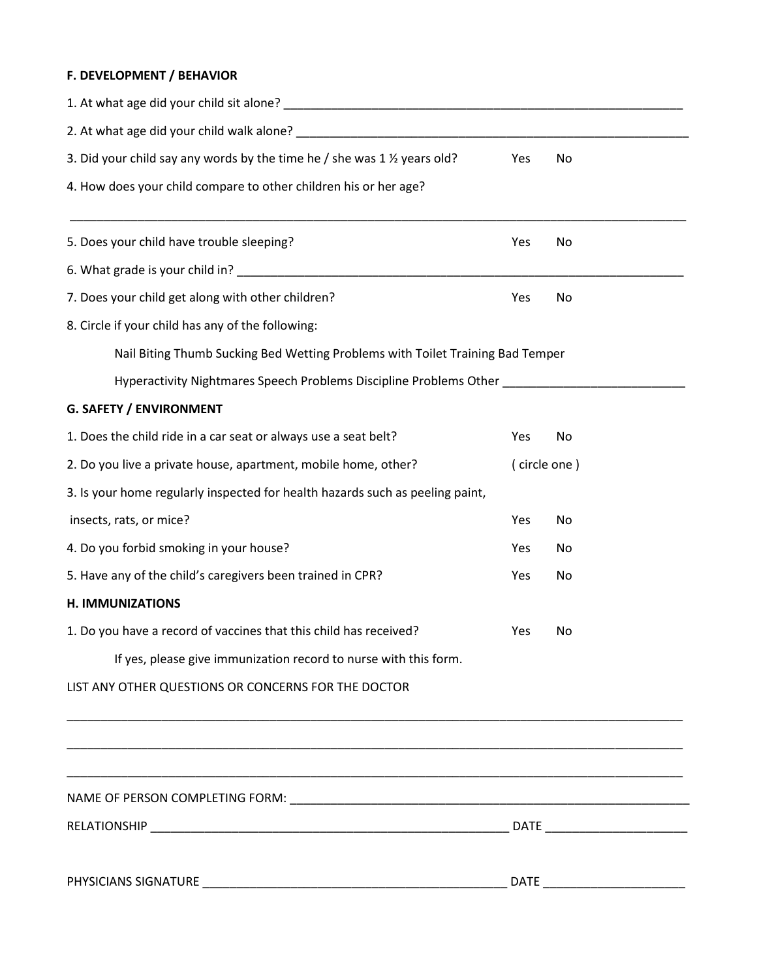## **F. DEVELOPMENT / BEHAVIOR**

| 3. Did your child say any words by the time he / she was 1 1/2 years old?                                             | Yes          | No |
|-----------------------------------------------------------------------------------------------------------------------|--------------|----|
| 4. How does your child compare to other children his or her age?                                                      |              |    |
| 5. Does your child have trouble sleeping?                                                                             | Yes          | No |
|                                                                                                                       |              |    |
| 7. Does your child get along with other children?                                                                     | Yes          | No |
| 8. Circle if your child has any of the following:                                                                     |              |    |
| Nail Biting Thumb Sucking Bed Wetting Problems with Toilet Training Bad Temper                                        |              |    |
| Hyperactivity Nightmares Speech Problems Discipline Problems Other _____________                                      |              |    |
| <b>G. SAFETY / ENVIRONMENT</b>                                                                                        |              |    |
| 1. Does the child ride in a car seat or always use a seat belt?                                                       | Yes          | No |
| 2. Do you live a private house, apartment, mobile home, other?                                                        | (circle one) |    |
| 3. Is your home regularly inspected for health hazards such as peeling paint,                                         |              |    |
| insects, rats, or mice?                                                                                               | Yes          | No |
| 4. Do you forbid smoking in your house?                                                                               | Yes          | No |
| 5. Have any of the child's caregivers been trained in CPR?                                                            | Yes          | No |
| <b>H. IMMUNIZATIONS</b>                                                                                               |              |    |
| 1. Do you have a record of vaccines that this child has received?                                                     | Yes          | No |
| If yes, please give immunization record to nurse with this form.                                                      |              |    |
| LIST ANY OTHER QUESTIONS OR CONCERNS FOR THE DOCTOR                                                                   |              |    |
| <u> 1989 - Johann John Stoff, deutscher Stoffen und der Stoffen und der Stoffen und der Stoffen und der Stoffen u</u> |              |    |
|                                                                                                                       |              |    |
|                                                                                                                       |              |    |
|                                                                                                                       |              |    |
|                                                                                                                       |              |    |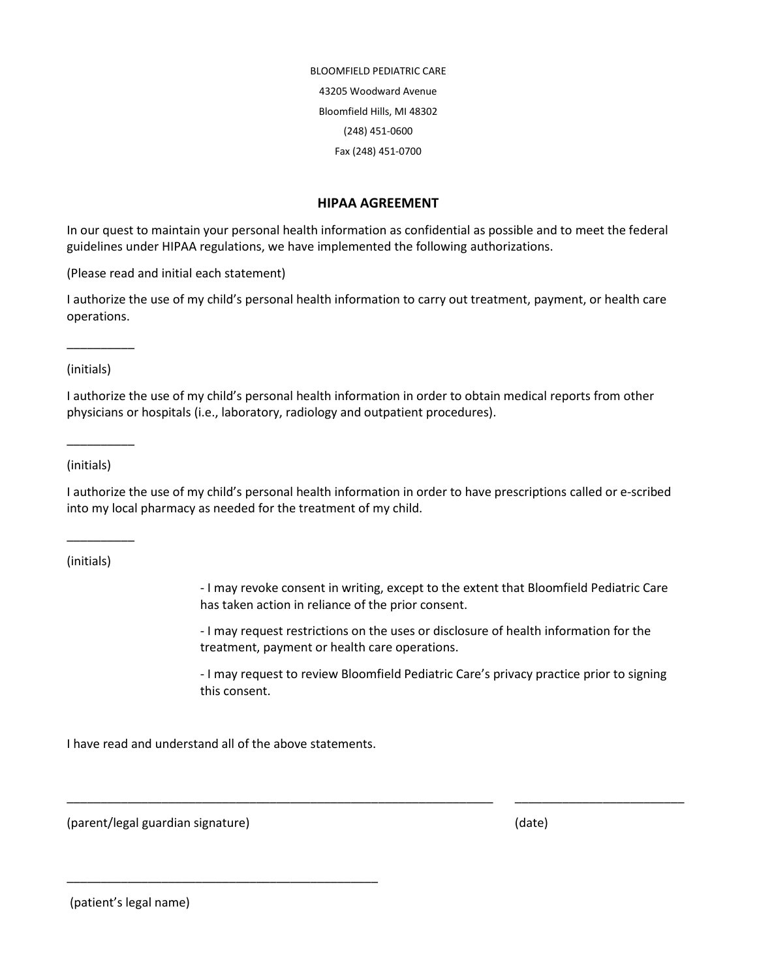BLOOMFIELD PEDIATRIC CARE 43205 Woodward Avenue Bloomfield Hills, MI 48302 (248) 451-0600 Fax (248) 451-0700

#### **HIPAA AGREEMENT**

In our quest to maintain your personal health information as confidential as possible and to meet the federal guidelines under HIPAA regulations, we have implemented the following authorizations.

(Please read and initial each statement)

I authorize the use of my child's personal health information to carry out treatment, payment, or health care operations.

(initials)

\_\_\_\_\_\_\_\_\_\_

I authorize the use of my child's personal health information in order to obtain medical reports from other physicians or hospitals (i.e., laboratory, radiology and outpatient procedures).

(initials)

\_\_\_\_\_\_\_\_\_\_

I authorize the use of my child's personal health information in order to have prescriptions called or e-scribed into my local pharmacy as needed for the treatment of my child.

\_\_\_\_\_\_\_\_\_\_\_\_\_\_\_\_\_\_\_\_\_\_\_\_\_\_\_\_\_\_\_\_\_\_\_\_\_\_\_\_\_\_\_\_\_\_\_\_\_\_\_\_\_\_\_\_\_\_\_\_\_\_\_ \_\_\_\_\_\_\_\_\_\_\_\_\_\_\_\_\_\_\_\_\_\_\_\_\_

(initials)

\_\_\_\_\_\_\_\_\_\_

- I may revoke consent in writing, except to the extent that Bloomfield Pediatric Care has taken action in reliance of the prior consent.

- I may request restrictions on the uses or disclosure of health information for the treatment, payment or health care operations.

- I may request to review Bloomfield Pediatric Care's privacy practice prior to signing this consent.

I have read and understand all of the above statements.

\_\_\_\_\_\_\_\_\_\_\_\_\_\_\_\_\_\_\_\_\_\_\_\_\_\_\_\_\_\_\_\_\_\_\_\_\_\_\_\_\_\_\_\_\_\_

(parent/legal guardian signature) (date)

(patient's legal name)